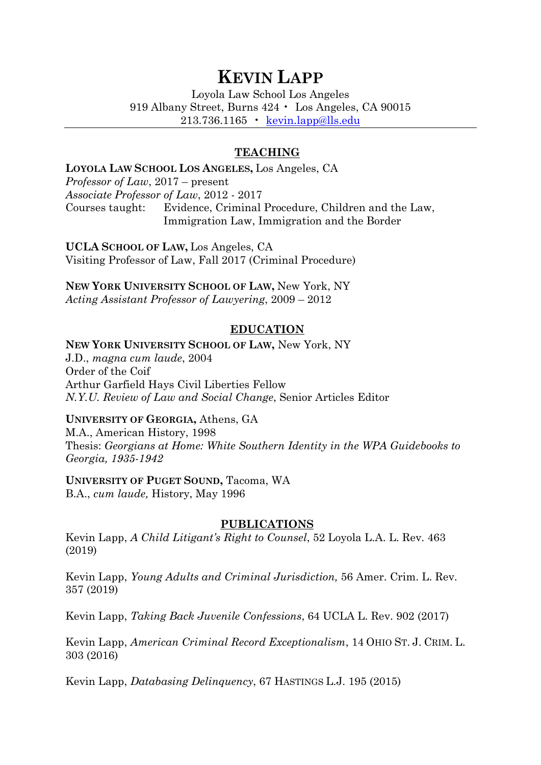# **KEVIN LAPP**

Loyola Law School Los Angeles 919 Albany Street, Burns 424 • Los Angeles, CA 90015 213.736.1165 • [kevin.lapp@lls.edu](mailto:kevin.lapp@lls.edu)

## **TEACHING**

#### **LOYOLA LAW SCHOOL LOS ANGELES,** Los Angeles, CA

*Professor of Law*, 2017 – present *Associate Professor of Law*, 2012 - 2017 Courses taught: Evidence, Criminal Procedure, Children and the Law, Immigration Law, Immigration and the Border

**UCLA SCHOOL OF LAW,** Los Angeles, CA Visiting Professor of Law, Fall 2017 (Criminal Procedure)

**NEW YORK UNIVERSITY SCHOOL OF LAW,** New York, NY *Acting Assistant Professor of Lawyering*, 2009 – 2012

## **EDUCATION**

#### **NEW YORK UNIVERSITY SCHOOL OF LAW,** New York, NY

J.D., *magna cum laude*, 2004 Order of the Coif Arthur Garfield Hays Civil Liberties Fellow *N.Y.U. Review of Law and Social Change*, Senior Articles Editor

#### **UNIVERSITY OF GEORGIA,** Athens, GA

M.A., American History, 1998 Thesis: *Georgians at Home: White Southern Identity in the WPA Guidebooks to Georgia, 1935-1942*

# **UNIVERSITY OF PUGET SOUND,** Tacoma, WA

B.A., *cum laude,* History, May 1996

# **PUBLICATIONS**

Kevin Lapp, *A Child Litigant's Right to Counsel*, 52 Loyola L.A. L. Rev. 463 (2019)

Kevin Lapp, *Young Adults and Criminal Jurisdiction,* 56 Amer. Crim. L. Rev. 357 (2019)

Kevin Lapp, *Taking Back Juvenile Confessions*, 64 UCLA L. Rev. 902 (2017)

Kevin Lapp, *American Criminal Record Exceptionalism*, 14 OHIO ST. J. CRIM. L. 303 (2016)

Kevin Lapp, *Databasing Delinquency*, 67 HASTINGS L.J. 195 (2015)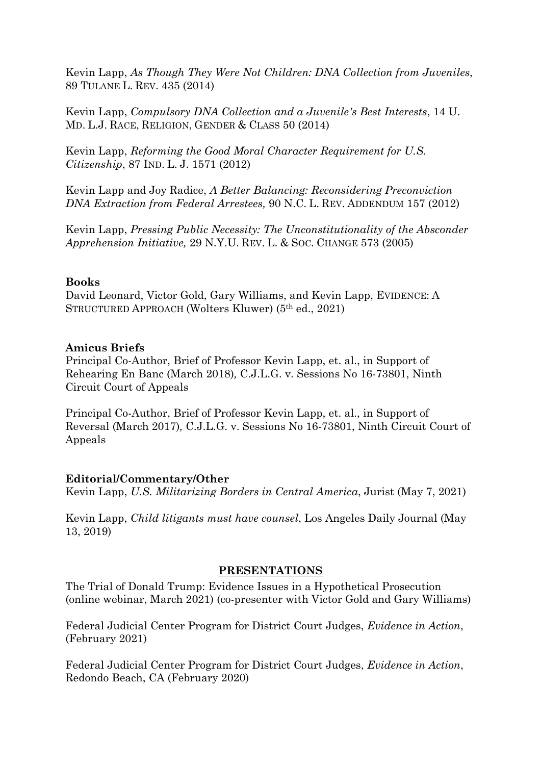Kevin Lapp, *[As Though They Were Not Children: DNA Collection from Juveniles](http://papers.ssrn.com/sol3/papers.cfm?abstract_id=2533222)*, 89 TULANE L. REV. 435 (2014)

Kevin Lapp, *[Compulsory DNA Collection and a Juvenile's Best Interests](http://papers.ssrn.com/sol3/papers.cfm?abstract_id=2533208)*, 14 U. MD. L.J. RACE, RELIGION, GENDER & CLASS 50 (2014)

Kevin Lapp, *[Reforming the Good Moral Character Requirement for U.S.](http://papers.ssrn.com/sol3/papers.cfm?abstract_id=1799524)  [Citizenship](http://papers.ssrn.com/sol3/papers.cfm?abstract_id=1799524)*, 87 IND. L. J. 1571 (2012)

Kevin Lapp and Joy Radice, *[A Better Balancing: Reconsidering Preconviction](http://papers.ssrn.com/sol3/papers.cfm?abstract_id=2030417)  [DNA Extraction from Federal Arrestees,](http://papers.ssrn.com/sol3/papers.cfm?abstract_id=2030417)* 90 N.C. L. REV. ADDENDUM 157 (2012)

Kevin Lapp, *[Pressing Public Necessity: The Unconstitutionality of the Absconder](http://papers.ssrn.com/sol3/papers.cfm?abstract_id=1911210)  [Apprehension Initiative,](http://papers.ssrn.com/sol3/papers.cfm?abstract_id=1911210)* 29 N.Y.U. REV. L. & SOC. CHANGE 573 (2005)

## **Books**

David Leonard, Victor Gold, Gary Williams, and Kevin Lapp, EVIDENCE: A STRUCTURED APPROACH (Wolters Kluwer) (5th ed., 2021)

#### **Amicus Briefs**

Principal Co-Author, Brief of Professor Kevin Lapp, et. al., in Support of Rehearing En Banc (March 2018)*,* C.J.L.G. v. Sessions No 16-73801, Ninth Circuit Court of Appeals

Principal Co-Author, Brief of Professor Kevin Lapp, et. al., in Support of Reversal (March 2017)*,* C.J.L.G. v. Sessions No 16-73801, Ninth Circuit Court of Appeals

## **Editorial/Commentary/Other**

Kevin Lapp, *U.S. Militarizing Borders in Central America*, Jurist (May 7, 2021)

Kevin Lapp, *Child litigants must have counsel*, Los Angeles Daily Journal (May 13, 2019)

#### **PRESENTATIONS**

The Trial of Donald Trump: Evidence Issues in a Hypothetical Prosecution (online webinar, March 2021) (co-presenter with Victor Gold and Gary Williams)

Federal Judicial Center Program for District Court Judges, *Evidence in Action*, (February 2021)

Federal Judicial Center Program for District Court Judges, *Evidence in Action*, Redondo Beach, CA (February 2020)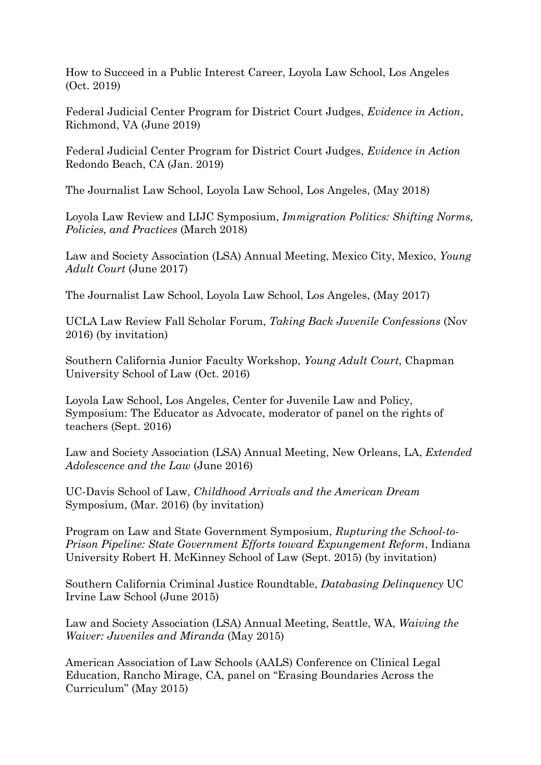How to Succeed in a Public Interest Career, Loyola Law School, Los Angeles (Oct. 2019)

Federal Judicial Center Program for District Court Judges, *Evidence in Action*, Richmond, VA (June 2019)

Federal Judicial Center Program for District Court Judges, *Evidence in Action* Redondo Beach, CA (Jan. 2019)

The Journalist Law School, Loyola Law School, Los Angeles, (May 2018)

Loyola Law Review and LIJC Symposium, *Immigration Politics: Shifting Norms, Policies, and Practices* (March 2018)

Law and Society Association (LSA) Annual Meeting, Mexico City, Mexico, *Young Adult Court* (June 2017)

The Journalist Law School, Loyola Law School, Los Angeles, (May 2017)

UCLA Law Review Fall Scholar Forum, *Taking Back Juvenile Confessions* (Nov 2016) (by invitation)

Southern California Junior Faculty Workshop, *Young Adult Court*, Chapman University School of Law (Oct. 2016)

Loyola Law School, Los Angeles, Center for Juvenile Law and Policy, Symposium: The Educator as Advocate, moderator of panel on the rights of teachers (Sept. 2016)

Law and Society Association (LSA) Annual Meeting, New Orleans, LA, *Extended Adolescence and the Law* (June 2016)

UC-Davis School of Law, *Childhood Arrivals and the American Dream* Symposium, (Mar. 2016) (by invitation)

Program on Law and State Government Symposium, *Rupturing the School-to-Prison Pipeline: State Government Efforts toward Expungement Reform*, Indiana University Robert H. McKinney School of Law (Sept. 2015) (by invitation)

Southern California Criminal Justice Roundtable, *Databasing Delinquency* UC Irvine Law School (June 2015)

Law and Society Association (LSA) Annual Meeting, Seattle, WA, *Waiving the Waiver: Juveniles and Miranda* (May 2015)

American Association of Law Schools (AALS) Conference on Clinical Legal Education, Rancho Mirage, CA, panel on "Erasing Boundaries Across the Curriculum" (May 2015)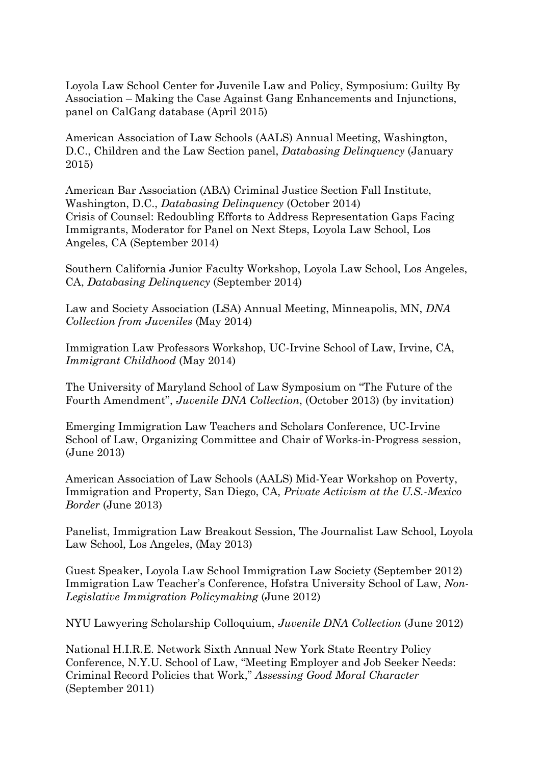Loyola Law School Center for Juvenile Law and Policy, Symposium: Guilty By Association – Making the Case Against Gang Enhancements and Injunctions, panel on CalGang database (April 2015)

American Association of Law Schools (AALS) Annual Meeting, Washington, D.C., Children and the Law Section panel, *Databasing Delinquency* (January 2015)

American Bar Association (ABA) Criminal Justice Section Fall Institute, Washington, D.C., *Databasing Delinquency* (October 2014) Crisis of Counsel: Redoubling Efforts to Address Representation Gaps Facing Immigrants, Moderator for Panel on Next Steps, Loyola Law School, Los Angeles, CA (September 2014)

Southern California Junior Faculty Workshop, Loyola Law School, Los Angeles, CA, *Databasing Delinquency* (September 2014)

Law and Society Association (LSA) Annual Meeting, Minneapolis, MN, *DNA Collection from Juveniles* (May 2014)

Immigration Law Professors Workshop, UC-Irvine School of Law, Irvine, CA, *Immigrant Childhood* (May 2014)

The University of Maryland School of Law Symposium on "The Future of the Fourth Amendment", *Juvenile DNA Collection*, (October 2013) (by invitation)

Emerging Immigration Law Teachers and Scholars Conference, UC-Irvine School of Law, Organizing Committee and Chair of Works-in-Progress session, (June 2013)

American Association of Law Schools (AALS) Mid-Year Workshop on Poverty, Immigration and Property, San Diego, CA, *Private Activism at the U.S.-Mexico Border* (June 2013)

Panelist, Immigration Law Breakout Session, The Journalist Law School, Loyola Law School, Los Angeles, (May 2013)

Guest Speaker, Loyola Law School Immigration Law Society (September 2012) Immigration Law Teacher's Conference, Hofstra University School of Law, *Non-Legislative Immigration Policymaking* (June 2012)

NYU Lawyering Scholarship Colloquium, *Juvenile DNA Collection* (June 2012)

National H.I.R.E. Network Sixth Annual New York State Reentry Policy Conference, N.Y.U. School of Law, "Meeting Employer and Job Seeker Needs: Criminal Record Policies that Work," *Assessing Good Moral Character*  (September 2011)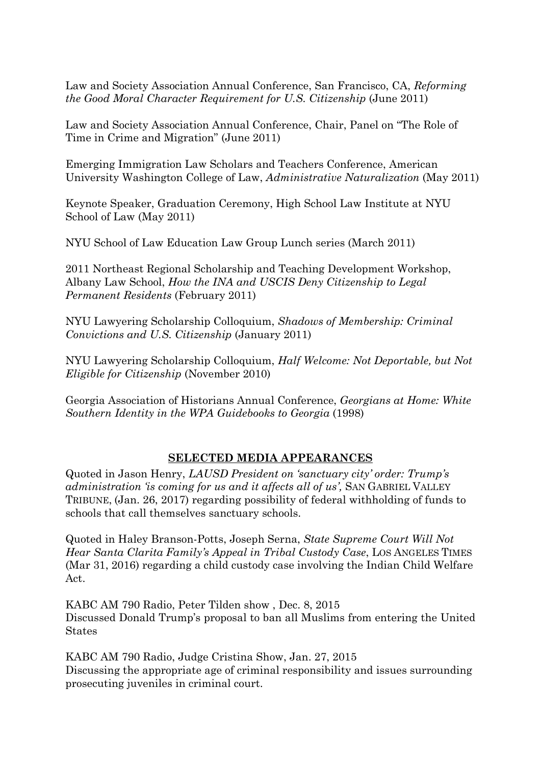Law and Society Association Annual Conference, San Francisco, CA, *Reforming the Good Moral Character Requirement for U.S. Citizenship* (June 2011)

Law and Society Association Annual Conference, Chair, Panel on "The Role of Time in Crime and Migration" (June 2011)

Emerging Immigration Law Scholars and Teachers Conference, American University Washington College of Law, *Administrative Naturalization* (May 2011)

Keynote Speaker, Graduation Ceremony, High School Law Institute at NYU School of Law (May 2011)

NYU School of Law Education Law Group Lunch series (March 2011)

2011 Northeast Regional Scholarship and Teaching Development Workshop, Albany Law School, *How the INA and USCIS Deny Citizenship to Legal Permanent Residents* (February 2011)

NYU Lawyering Scholarship Colloquium, *Shadows of Membership: Criminal Convictions and U.S. Citizenship* (January 2011)

NYU Lawyering Scholarship Colloquium, *Half Welcome: Not Deportable, but Not Eligible for Citizenship* (November 2010)

Georgia Association of Historians Annual Conference, *Georgians at Home: White Southern Identity in the WPA Guidebooks to Georgia* (1998)

# **SELECTED MEDIA APPEARANCES**

Quoted in Jason Henry, *LAUSD President on 'sanctuary city' order: Trump's administration 'is coming for us and it affects all of us',* SAN GABRIEL VALLEY TRIBUNE, (Jan. 26, 2017) regarding possibility of federal withholding of funds to schools that call themselves sanctuary schools.

Quoted in Haley Branson-Potts, Joseph Serna, *State Supreme Court Will Not Hear Santa Clarita Family's Appeal in Tribal Custody Case*, LOS ANGELES TIMES (Mar 31, 2016) regarding a child custody case involving the Indian Child Welfare Act.

KABC AM 790 Radio, Peter Tilden show , Dec. 8, 2015 Discussed Donald Trump's proposal to ban all Muslims from entering the United States

KABC AM 790 Radio, Judge Cristina Show, Jan. 27, 2015 Discussing the appropriate age of criminal responsibility and issues surrounding prosecuting juveniles in criminal court.